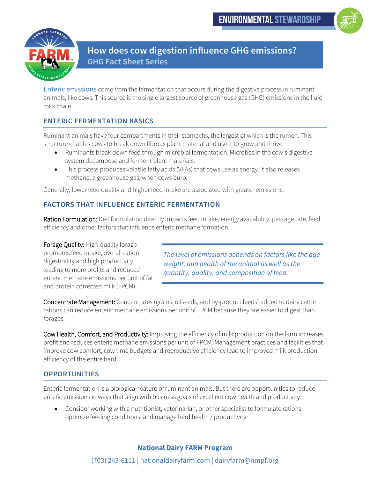



**How does cow digestion influence GHG emissions? GHG Fact Sheet Series**

Enteric emissions come from the fermentation that occurs during the digestive process in ruminant animals, like cows. This source is the single largest source of greenhouse gas (GHG) emissions in the fluid milk chain.

# **ENTERIC FERMENTATION BASICS**

Ruminant animals have four compartments in their stomachs, the largest of which is the rumen. This structure enables cows to break down fibrous plant material and use it to grow and thrive.

- Ruminants break down feed through microbial fermentation. Microbes in the cow's digestive system decompose and ferment plant materials.
- This process produces volatile fatty acids (VFAs) that cows use as energy. It also releases methane, a greenhouse gas, when cows burp.

Generally, lower feed quality and higher feed intake are associated with greater emissions.

## **FACTORS THAT INFLUENCE ENTERIC FERMENTATION**

Ration Formulation: Diet formulation directly impacts feed intake, energy availability, passage rate, feed efficiency and other factors that influence enteric methane formation.

Forage Quality: High-quality forage promotes feed intake, overall ration digestibility and high productivity, leading to more profits and reduced enteric methane emissions per unit of fat and protein corrected milk (FPCM).

*The level of emissions depends on factors like the age weight, and health of the animal as well as the quantity, quality, and composition of feed.*

Concentrate Management: Concentrates (grains, oilseeds, and by-product feeds) added to dairy cattle rations can reduce enteric methane emissions per unit of FPCM because they are easier to digest than forages.

Cow Health, Comfort, and Productivity: Improving the efficiency of milk production on the farm increases profit and reduces enteric methane emissions per unit of FPCM. Management practices and facilities that improve cow comfort, cow time budgets and reproductive efficiency lead to improved milk production efficiency of the entire herd.

### **OPPORTUNITIES**

Enteric fermentation is a biological feature of ruminant animals. But there are opportunities to reduce enteric emissions in ways that align with business goals of excellent cow health and productivity:

• Consider working with a nutritionist, veterinarian, or other specialist to formulate rations, optimize feeding conditions, and manage herd health / productivity.

### **National Dairy FARM Program**